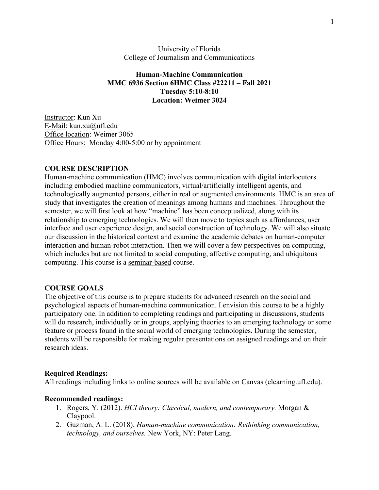University of Florida College of Journalism and Communications

#### **Human-Machine Communication MMC 6936 Section 6HMC Class #22211 – Fall 2021 Tuesday 5:10-8:10 Location: Weimer 3024**

Instructor: Kun Xu E-Mail: kun.xu@ufl.edu Office location: Weimer 3065 Office Hours: Monday 4:00-5:00 or by appointment

#### **COURSE DESCRIPTION**

Human-machine communication (HMC) involves communication with digital interlocutors including embodied machine communicators, virtual/artificially intelligent agents, and technologically augmented persons, either in real or augmented environments. HMC is an area of study that investigates the creation of meanings among humans and machines. Throughout the semester, we will first look at how "machine" has been conceptualized, along with its relationship to emerging technologies. We will then move to topics such as affordances, user interface and user experience design, and social construction of technology. We will also situate our discussion in the historical context and examine the academic debates on human-computer interaction and human-robot interaction. Then we will cover a few perspectives on computing, which includes but are not limited to social computing, affective computing, and ubiquitous computing. This course is a seminar-based course.

#### **COURSE GOALS**

The objective of this course is to prepare students for advanced research on the social and psychological aspects of human-machine communication. I envision this course to be a highly participatory one. In addition to completing readings and participating in discussions, students will do research, individually or in groups, applying theories to an emerging technology or some feature or process found in the social world of emerging technologies. During the semester, students will be responsible for making regular presentations on assigned readings and on their research ideas.

#### **Required Readings:**

All readings including links to online sources will be available on Canvas (elearning.ufl.edu).

#### **Recommended readings:**

- 1. Rogers, Y. (2012). *HCI theory: Classical, modern, and contemporary.* Morgan & Claypool.
- 2. Guzman, A. L. (2018). *Human-machine communication: Rethinking communication, technology, and ourselves.* New York, NY: Peter Lang.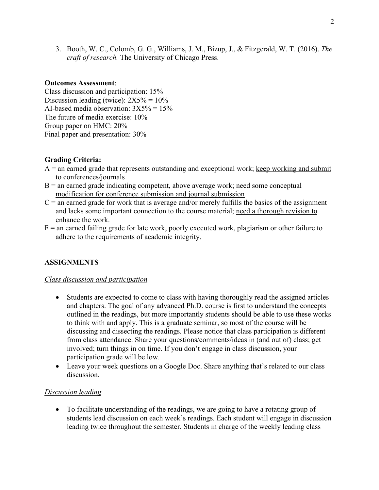3. Booth, W. C., Colomb, G. G., Williams, J. M., Bizup, J., & Fitzgerald, W. T. (2016). *The craft of research.* The University of Chicago Press.

#### **Outcomes Assessment**:

Class discussion and participation: 15% Discussion leading (twice):  $2X5% = 10%$ AI-based media observation:  $3X5% = 15%$ The future of media exercise: 10% Group paper on HMC: 20% Final paper and presentation: 30%

# **Grading Criteria:**

- $A =$  an earned grade that represents outstanding and exceptional work; keep working and submit to conferences/journals
- $B =$  an earned grade indicating competent, above average work; need some conceptual modification for conference submission and journal submission
- $C =$  an earned grade for work that is average and/or merely fulfills the basics of the assignment and lacks some important connection to the course material; need a thorough revision to enhance the work.
- $F =$  an earned failing grade for late work, poorly executed work, plagiarism or other failure to adhere to the requirements of academic integrity.

# **ASSIGNMENTS**

# *Class discussion and participation*

- Students are expected to come to class with having thoroughly read the assigned articles and chapters. The goal of any advanced Ph.D. course is first to understand the concepts outlined in the readings, but more importantly students should be able to use these works to think with and apply. This is a graduate seminar, so most of the course will be discussing and dissecting the readings. Please notice that class participation is different from class attendance. Share your questions/comments/ideas in (and out of) class; get involved; turn things in on time. If you don't engage in class discussion, your participation grade will be low.
- Leave your week questions on a Google Doc. Share anything that's related to our class discussion.

#### *Discussion leading*

• To facilitate understanding of the readings, we are going to have a rotating group of students lead discussion on each week's readings. Each student will engage in discussion leading twice throughout the semester. Students in charge of the weekly leading class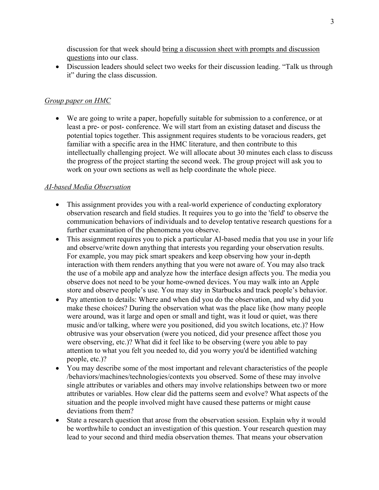discussion for that week should bring a discussion sheet with prompts and discussion questions into our class.

• Discussion leaders should select two weeks for their discussion leading. "Talk us through it" during the class discussion.

# *Group paper on HMC*

• We are going to write a paper, hopefully suitable for submission to a conference, or at least a pre- or post- conference. We will start from an existing dataset and discuss the potential topics together. This assignment requires students to be voracious readers, get familiar with a specific area in the HMC literature, and then contribute to this intellectually challenging project. We will allocate about 30 minutes each class to discuss the progress of the project starting the second week. The group project will ask you to work on your own sections as well as help coordinate the whole piece.

# *AI-based Media Observation*

- This assignment provides you with a real-world experience of conducting exploratory observation research and field studies. It requires you to go into the 'field' to observe the communication behaviors of individuals and to develop tentative research questions for a further examination of the phenomena you observe.
- This assignment requires you to pick a particular AI-based media that you use in your life and observe/write down anything that interests you regarding your observation results. For example, you may pick smart speakers and keep observing how your in-depth interaction with them renders anything that you were not aware of. You may also track the use of a mobile app and analyze how the interface design affects you. The media you observe does not need to be your home-owned devices. You may walk into an Apple store and observe people's use. You may stay in Starbucks and track people's behavior.
- Pay attention to details: Where and when did you do the observation, and why did you make these choices? During the observation what was the place like (how many people were around, was it large and open or small and tight, was it loud or quiet, was there music and/or talking, where were you positioned, did you switch locations, etc.)? How obtrusive was your observation (were you noticed, did your presence affect those you were observing, etc.)? What did it feel like to be observing (were you able to pay attention to what you felt you needed to, did you worry you'd be identified watching people, etc.)?
- You may describe some of the most important and relevant characteristics of the people /behaviors/machines/technologies/contexts you observed. Some of these may involve single attributes or variables and others may involve relationships between two or more attributes or variables. How clear did the patterns seem and evolve? What aspects of the situation and the people involved might have caused these patterns or might cause deviations from them?
- State a research question that arose from the observation session. Explain why it would be worthwhile to conduct an investigation of this question. Your research question may lead to your second and third media observation themes. That means your observation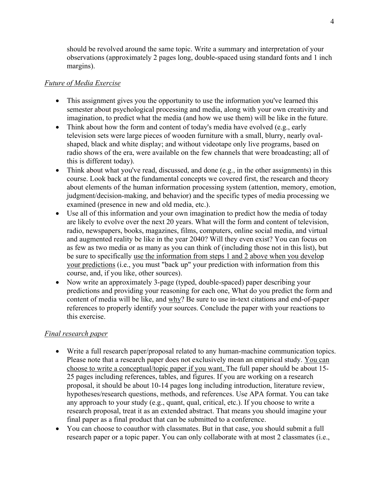should be revolved around the same topic. Write a summary and interpretation of your observations (approximately 2 pages long, double-spaced using standard fonts and 1 inch margins).

#### *Future of Media Exercise*

- This assignment gives you the opportunity to use the information you've learned this semester about psychological processing and media, along with your own creativity and imagination, to predict what the media (and how we use them) will be like in the future.
- Think about how the form and content of today's media have evolved (e.g., early television sets were large pieces of wooden furniture with a small, blurry, nearly ovalshaped, black and white display; and without videotape only live programs, based on radio shows of the era, were available on the few channels that were broadcasting; all of this is different today).
- Think about what you've read, discussed, and done (e.g., in the other assignments) in this course. Look back at the fundamental concepts we covered first, the research and theory about elements of the human information processing system (attention, memory, emotion, judgment/decision-making, and behavior) and the specific types of media processing we examined (presence in new and old media, etc.).
- Use all of this information and your own imagination to predict how the media of today are likely to evolve over the next 20 years. What will the form and content of television, radio, newspapers, books, magazines, films, computers, online social media, and virtual and augmented reality be like in the year 2040? Will they even exist? You can focus on as few as two media or as many as you can think of (including those not in this list), but be sure to specifically use the information from steps 1 and 2 above when you develop your predictions (i.e., you must "back up" your prediction with information from this course, and, if you like, other sources).
- Now write an approximately 3-page (typed, double-spaced) paper describing your predictions and providing your reasoning for each one, What do you predict the form and content of media will be like, and why? Be sure to use in-text citations and end-of-paper references to properly identify your sources. Conclude the paper with your reactions to this exercise.

# *Final research paper*

- Write a full research paper/proposal related to any human-machine communication topics. Please note that a research paper does not exclusively mean an empirical study. You can choose to write a conceptual/topic paper if you want. The full paper should be about 15- 25 pages including references, tables, and figures. If you are working on a research proposal, it should be about 10-14 pages long including introduction, literature review, hypotheses/research questions, methods, and references. Use APA format. You can take any approach to your study (e.g., quant, qual, critical, etc.). If you choose to write a research proposal, treat it as an extended abstract. That means you should imagine your final paper as a final product that can be submitted to a conference.
- You can choose to coauthor with classmates. But in that case, you should submit a full research paper or a topic paper. You can only collaborate with at most 2 classmates (i.e.,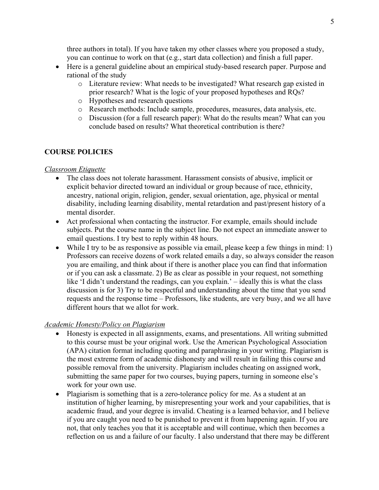three authors in total). If you have taken my other classes where you proposed a study, you can continue to work on that (e.g., start data collection) and finish a full paper.

- Here is a general guideline about an empirical study-based research paper. Purpose and rational of the study
	- o Literature review: What needs to be investigated? What research gap existed in prior research? What is the logic of your proposed hypotheses and RQs?
	- o Hypotheses and research questions
	- o Research methods: Include sample, procedures, measures, data analysis, etc.
	- o Discussion (for a full research paper): What do the results mean? What can you conclude based on results? What theoretical contribution is there?

# **COURSE POLICIES**

#### *Classroom Etiquette*

- The class does not tolerate harassment. Harassment consists of abusive, implicit or explicit behavior directed toward an individual or group because of race, ethnicity, ancestry, national origin, religion, gender, sexual orientation, age, physical or mental disability, including learning disability, mental retardation and past/present history of a mental disorder.
- Act professional when contacting the instructor. For example, emails should include subjects. Put the course name in the subject line. Do not expect an immediate answer to email questions. I try best to reply within 48 hours.
- While I try to be as responsive as possible via email, please keep a few things in mind: 1) Professors can receive dozens of work related emails a day, so always consider the reason you are emailing, and think about if there is another place you can find that information or if you can ask a classmate. 2) Be as clear as possible in your request, not something like 'I didn't understand the readings, can you explain.' – ideally this is what the class discussion is for 3) Try to be respectful and understanding about the time that you send requests and the response time – Professors, like students, are very busy, and we all have different hours that we allot for work.

# *Academic Honesty/Policy on Plagiarism*

- Honesty is expected in all assignments, exams, and presentations. All writing submitted to this course must be your original work. Use the American Psychological Association (APA) citation format including quoting and paraphrasing in your writing. Plagiarism is the most extreme form of academic dishonesty and will result in failing this course and possible removal from the university. Plagiarism includes cheating on assigned work, submitting the same paper for two courses, buying papers, turning in someone else's work for your own use.
- Plagiarism is something that is a zero-tolerance policy for me. As a student at an institution of higher learning, by misrepresenting your work and your capabilities, that is academic fraud, and your degree is invalid. Cheating is a learned behavior, and I believe if you are caught you need to be punished to prevent it from happening again. If you are not, that only teaches you that it is acceptable and will continue, which then becomes a reflection on us and a failure of our faculty. I also understand that there may be different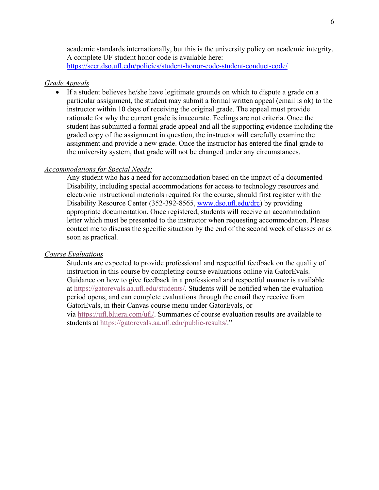academic standards internationally, but this is the university policy on academic integrity. A complete UF student honor code is available here: https://sccr.dso.ufl.edu/policies/student-honor-code-student-conduct-code/

#### *Grade Appeals*

• If a student believes he/she have legitimate grounds on which to dispute a grade on a particular assignment, the student may submit a formal written appeal (email is ok) to the instructor within 10 days of receiving the original grade. The appeal must provide rationale for why the current grade is inaccurate. Feelings are not criteria. Once the student has submitted a formal grade appeal and all the supporting evidence including the graded copy of the assignment in question, the instructor will carefully examine the assignment and provide a new grade. Once the instructor has entered the final grade to the university system, that grade will not be changed under any circumstances.

#### *Accommodations for Special Needs:*

Any student who has a need for accommodation based on the impact of a documented Disability, including special accommodations for access to technology resources and electronic instructional materials required for the course, should first register with the Disability Resource Center (352-392-8565, www.dso.ufl.edu/drc) by providing appropriate documentation. Once registered, students will receive an accommodation letter which must be presented to the instructor when requesting accommodation. Please contact me to discuss the specific situation by the end of the second week of classes or as soon as practical.

#### *Course Evaluations*

Students are expected to provide professional and respectful feedback on the quality of instruction in this course by completing course evaluations online via GatorEvals. Guidance on how to give feedback in a professional and respectful manner is available at https://gatorevals.aa.ufl.edu/students/. Students will be notified when the evaluation period opens, and can complete evaluations through the email they receive from GatorEvals, in their Canvas course menu under GatorEvals, or

via https://ufl.bluera.com/ufl/. Summaries of course evaluation results are available to students at https://gatorevals.aa.ufl.edu/public-results/."